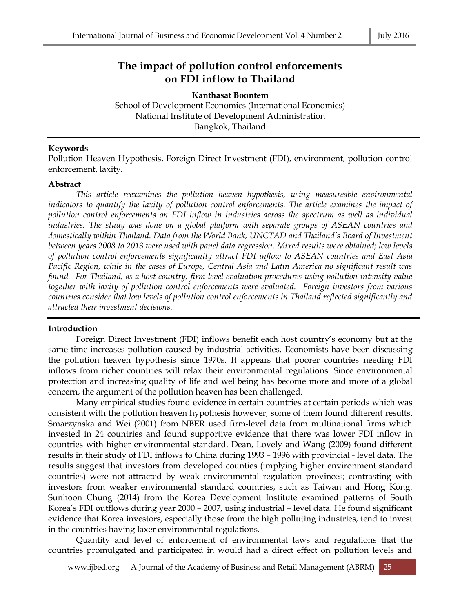# **The impact of pollution control enforcements on FDI inflow to Thailand**

**Kanthasat Boontem** School of Development Economics (International Economics)

National Institute of Development Administration

Bangkok, Thailand

#### **Keywords**

Pollution Heaven Hypothesis, Foreign Direct Investment (FDI), environment, pollution control enforcement, laxity.

#### **Abstract**

*This article reexamines the pollution heaven hypothesis, using measureable environmental indicators to quantify the laxity of pollution control enforcements. The article examines the impact of pollution control enforcements on FDI inflow in industries across the spectrum as well as individual industries. The study was done on a global platform with separate groups of ASEAN countries and domestically within Thailand. Data from the World Bank, UNCTAD and Thailand's Board of Investment between years 2008 to 2013 were used with panel data regression. Mixed results were obtained; low levels of pollution control enforcements significantly attract FDI inflow to ASEAN countries and East Asia Pacific Region, while in the cases of Europe, Central Asia and Latin America no significant result was found. For Thailand, as a host country, firm-level evaluation procedures using pollution intensity value together with laxity of pollution control enforcements were evaluated. Foreign investors from various countries consider that low levels of pollution control enforcements in Thailand reflected significantly and attracted their investment decisions.*

#### **Introduction**

Foreign Direct Investment (FDI) inflows benefit each host country's economy but at the same time increases pollution caused by industrial activities. Economists have been discussing the pollution heaven hypothesis since 1970s. It appears that poorer countries needing FDI inflows from richer countries will relax their environmental regulations. Since environmental protection and increasing quality of life and wellbeing has become more and more of a global concern, the argument of the pollution heaven has been challenged.

Many empirical studies found evidence in certain countries at certain periods which was consistent with the pollution heaven hypothesis however, some of them found different results. Smarzynska and Wei (2001) from NBER used firm-level data from multinational firms which invested in 24 countries and found supportive evidence that there was lower FDI inflow in countries with higher environmental standard. Dean, Lovely and Wang (2009) found different results in their study of FDI inflows to China during 1993 – 1996 with provincial - level data. The results suggest that investors from developed counties (implying higher environment standard countries) were not attracted by weak environmental regulation provinces; contrasting with investors from weaker environmental standard countries, such as Taiwan and Hong Kong. Sunhoon Chung (2014) from the Korea Development Institute examined patterns of South Korea's FDI outflows during year 2000 – 2007, using industrial – level data. He found significant evidence that Korea investors, especially those from the high polluting industries, tend to invest in the countries having laxer environmental regulations.

Quantity and level of enforcement of environmental laws and regulations that the countries promulgated and participated in would had a direct effect on pollution levels and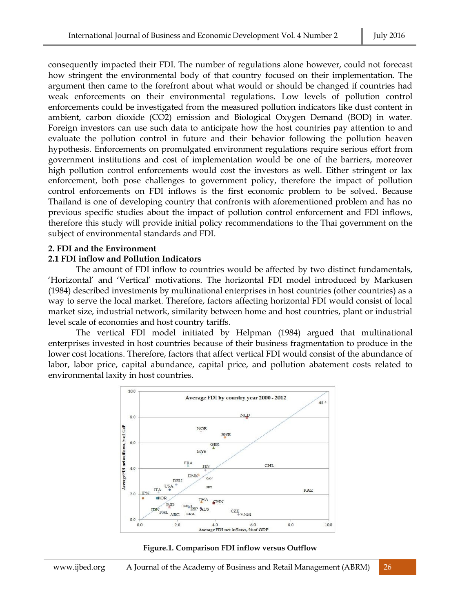consequently impacted their FDI. The number of regulations alone however, could not forecast how stringent the environmental body of that country focused on their implementation. The argument then came to the forefront about what would or should be changed if countries had weak enforcements on their environmental regulations. Low levels of pollution control enforcements could be investigated from the measured pollution indicators like dust content in ambient, carbon dioxide (CO2) emission and Biological Oxygen Demand (BOD) in water. Foreign investors can use such data to anticipate how the host countries pay attention to and evaluate the pollution control in future and their behavior following the pollution heaven hypothesis. Enforcements on promulgated environment regulations require serious effort from government institutions and cost of implementation would be one of the barriers, moreover high pollution control enforcements would cost the investors as well. Either stringent or lax enforcement, both pose challenges to government policy, therefore the impact of pollution control enforcements on FDI inflows is the first economic problem to be solved. Because Thailand is one of developing country that confronts with aforementioned problem and has no previous specific studies about the impact of pollution control enforcement and FDI inflows, therefore this study will provide initial policy recommendations to the Thai government on the subject of environmental standards and FDI.

#### **2. FDI and the Environment**

### **2.1 FDI inflow and Pollution Indicators**

The amount of FDI inflow to countries would be affected by two distinct fundamentals, 'Horizontal' and 'Vertical' motivations. The horizontal FDI model introduced by Markusen (1984) described investments by multinational enterprises in host countries (other countries) as a way to serve the local market. Therefore, factors affecting horizontal FDI would consist of local market size, industrial network, similarity between home and host countries, plant or industrial level scale of economies and host country tariffs.

The vertical FDI model initiated by Helpman (1984) argued that multinational enterprises invested in host countries because of their business fragmentation to produce in the lower cost locations. Therefore, factors that affect vertical FDI would consist of the abundance of labor, labor price, capital abundance, capital price, and pollution abatement costs related to environmental laxity in host countries.



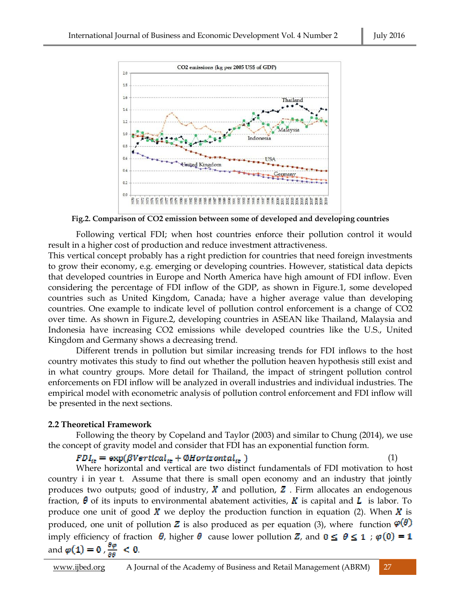

**Fig.2. Comparison of CO2 emission between some of developed and developing countries**

Following vertical FDI; when host countries enforce their pollution control it would result in a higher cost of production and reduce investment attractiveness.

This vertical concept probably has a right prediction for countries that need foreign investments to grow their economy, e.g. emerging or developing countries. However, statistical data depicts that developed countries in Europe and North America have high amount of FDI inflow. Even considering the percentage of FDI inflow of the GDP, as shown in Figure.1, some developed countries such as United Kingdom, Canada; have a higher average value than developing countries. One example to indicate level of pollution control enforcement is a change of CO2 over time. As shown in Figure.2, developing countries in ASEAN like Thailand, Malaysia and Indonesia have increasing CO2 emissions while developed countries like the U.S., United Kingdom and Germany shows a decreasing trend.

Different trends in pollution but similar increasing trends for FDI inflows to the host country motivates this study to find out whether the pollution heaven hypothesis still exist and in what country groups. More detail for Thailand, the impact of stringent pollution control enforcements on FDI inflow will be analyzed in overall industries and individual industries. The empirical model with econometric analysis of pollution control enforcement and FDI inflow will be presented in the next sections.

### **2.2 Theoretical Framework**

Following the theory by Copeland and Taylor (2003) and similar to Chung (2014), we use the concept of gravity model and consider that FDI has an exponential function form.

#### $FDI_{it} = \exp(\beta Vertical_{it} + \emptyset Horizontal_{it})$  (1)

Where horizontal and vertical are two distinct fundamentals of FDI motivation to host country i in year t. Assume that there is small open economy and an industry that jointly produces two outputs; good of industry,  $\boldsymbol{X}$  and pollution,  $\boldsymbol{Z}$ . Firm allocates an endogenous fraction,  $\theta$  of its inputs to environmental abatement activities, K is capital and L is labor. To produce one unit of good X we deploy the production function in equation (2). When X is produced, one unit of pollution Z is also produced as per equation (3), where function  $\varphi(\theta)$ imply efficiency of fraction  $\theta$ , higher  $\theta$  cause lower pollution Z, and  $0 \le \theta \le 1$ ;  $\varphi(0) = 1$ and  $\varphi(1) = 0$ ,  $\frac{\partial \varphi}{\partial \theta} < 0$ .

www.ijbed.org A Journal of the Academy of Business and Retail Management (ABRM) 27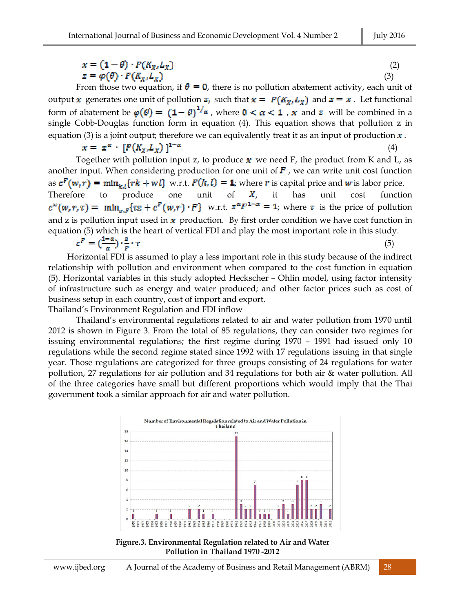$$
x = (1 - \theta) \cdot F(K_X, L_X)
$$
  
\n
$$
z = \varphi(\theta) \cdot F(K_X, L_X)
$$
\n(2)

From those two equation, if  $\theta = 0$ , there is no pollution abatement activity, each unit of output x generates one unit of pollution  $z_i$ , such that  $x = F(K_x, L_y)$  and  $z = x$ . Let functional form of abatement be  $\varphi(\theta) = (1-\theta)^{1/\alpha}$ , where  $0 < \alpha < 1$ , x and z will be combined in a single Cobb-Douglas function form in equation (4). This equation shows that pollution z in equation (3) is a joint output; therefore we can equivalently treat it as an input of production  $x$ .

$$
x = z^{\alpha} \cdot [F(K_{X}, L_X)]^{1-\alpha} \tag{4}
$$

Together with pollution input z, to produce x we need F, the product from K and L, as another input. When considering production for one unit of  $F$ , we can write unit cost function as  $c^F(w,r) = \min_{k \in \{rk + w\}} \{wk + w\}$  w.r.t.  $F(k, l) = 1$ ; where r is capital price and w is labor price. Therefore to produce one unit of  $X$ , it has unit cost function  $c^{\infty}(w,r,\tau) = \min_{\pi,\pi} \{ \tau z + c^F(w,r) \cdot F \}$  w.r.t.  $z^{\alpha} F^{1-\alpha} = 1$ ; where  $\tau$  is the price of pollution and z is pollution input used in  $x$  production. By first order condition we have cost function in equation (5) which is the heart of vertical FDI and play the most important role in this study.

$$
c^F = \left(\frac{1-\alpha}{\alpha}\right) \cdot \frac{z}{F} \cdot \tau \tag{5}
$$

 Horizontal FDI is assumed to play a less important role in this study because of the indirect relationship with pollution and environment when compared to the cost function in equation (5). Horizontal variables in this study adopted Heckscher – Ohlin model, using factor intensity of infrastructure such as energy and water produced; and other factor prices such as cost of business setup in each country, cost of import and export.

Thailand's Environment Regulation and FDI inflow

Thailand's environmental regulations related to air and water pollution from 1970 until 2012 is shown in Figure 3. From the total of 85 regulations, they can consider two regimes for issuing environmental regulations; the first regime during 1970 – 1991 had issued only 10 regulations while the second regime stated since 1992 with 17 regulations issuing in that single year. Those regulations are categorized for three groups consisting of 24 regulations for water pollution, 27 regulations for air pollution and 34 regulations for both air & water pollution. All of the three categories have small but different proportions which would imply that the Thai government took a similar approach for air and water pollution.



**Figure.3. Environmental Regulation related to Air and Water Pollution in Thailand 1970 -2012**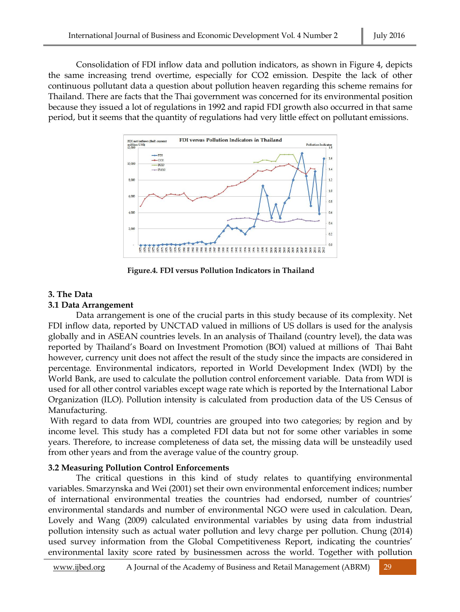Consolidation of FDI inflow data and pollution indicators, as shown in Figure 4, depicts the same increasing trend overtime, especially for CO2 emission. Despite the lack of other continuous pollutant data a question about pollution heaven regarding this scheme remains for Thailand. There are facts that the Thai government was concerned for its environmental position because they issued a lot of regulations in 1992 and rapid FDI growth also occurred in that same period, but it seems that the quantity of regulations had very little effect on pollutant emissions.



**Figure.4. FDI versus Pollution Indicators in Thailand**

# **3. The Data**

### **3.1 Data Arrangement**

Data arrangement is one of the crucial parts in this study because of its complexity. Net FDI inflow data, reported by UNCTAD valued in millions of US dollars is used for the analysis globally and in ASEAN countries levels. In an analysis of Thailand (country level), the data was reported by Thailand's Board on Investment Promotion (BOI) valued at millions of Thai Baht however, currency unit does not affect the result of the study since the impacts are considered in percentage. Environmental indicators, reported in World Development Index (WDI) by the World Bank, are used to calculate the pollution control enforcement variable. Data from WDI is used for all other control variables except wage rate which is reported by the International Labor Organization (ILO). Pollution intensity is calculated from production data of the US Census of Manufacturing.

With regard to data from WDI, countries are grouped into two categories; by region and by income level. This study has a completed FDI data but not for some other variables in some years. Therefore, to increase completeness of data set, the missing data will be unsteadily used from other years and from the average value of the country group.

# **3.2 Measuring Pollution Control Enforcements**

The critical questions in this kind of study relates to quantifying environmental variables. Smarzynska and Wei (2001) set their own environmental enforcement indices; number of international environmental treaties the countries had endorsed, number of countries' environmental standards and number of environmental NGO were used in calculation. Dean, Lovely and Wang (2009) calculated environmental variables by using data from industrial pollution intensity such as actual water pollution and levy charge per pollution. Chung (2014) used survey information from the Global Competitiveness Report, indicating the countries' environmental laxity score rated by businessmen across the world. Together with pollution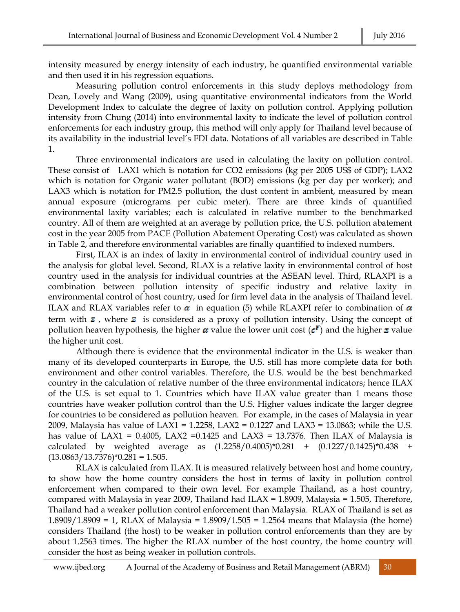intensity measured by energy intensity of each industry, he quantified environmental variable and then used it in his regression equations.

Measuring pollution control enforcements in this study deploys methodology from Dean, Lovely and Wang (2009), using quantitative environmental indicators from the World Development Index to calculate the degree of laxity on pollution control. Applying pollution intensity from Chung (2014) into environmental laxity to indicate the level of pollution control enforcements for each industry group, this method will only apply for Thailand level because of its availability in the industrial level's FDI data. Notations of all variables are described in Table 1.

Three environmental indicators are used in calculating the laxity on pollution control. These consist of LAX1 which is notation for CO2 emissions (kg per 2005 US\$ of GDP); LAX2 which is notation for Organic water pollutant (BOD) emissions (kg per day per worker); and LAX3 which is notation for PM2.5 pollution, the dust content in ambient, measured by mean annual exposure (micrograms per cubic meter). There are three kinds of quantified environmental laxity variables; each is calculated in relative number to the benchmarked country. All of them are weighted at an average by pollution price, the U.S. pollution abatement cost in the year 2005 from PACE (Pollution Abatement Operating Cost) was calculated as shown in Table 2, and therefore environmental variables are finally quantified to indexed numbers.

First, ILAX is an index of laxity in environmental control of individual country used in the analysis for global level. Second, RLAX is a relative laxity in environmental control of host country used in the analysis for individual countries at the ASEAN level. Third, RLAXPI is a combination between pollution intensity of specific industry and relative laxity in environmental control of host country, used for firm level data in the analysis of Thailand level. ILAX and RLAX variables refer to  $\alpha$  in equation (5) while RLAXPI refer to combination of  $\alpha$ term with  $\boldsymbol{z}$ , where  $\boldsymbol{z}$  is considered as a proxy of pollution intensity. Using the concept of pollution heaven hypothesis, the higher  $\alpha$  value the lower unit cost  $(c^F)$  and the higher z value the higher unit cost.

Although there is evidence that the environmental indicator in the U.S. is weaker than many of its developed counterparts in Europe, the U.S. still has more complete data for both environment and other control variables. Therefore, the U.S. would be the best benchmarked country in the calculation of relative number of the three environmental indicators; hence ILAX of the U.S. is set equal to 1. Countries which have ILAX value greater than 1 means those countries have weaker pollution control than the U.S. Higher values indicate the larger degree for countries to be considered as pollution heaven. For example, in the cases of Malaysia in year 2009, Malaysia has value of LAX1 = 1.2258, LAX2 = 0.1227 and LAX3 = 13.0863; while the U.S. has value of LAX1 = 0.4005, LAX2 = 0.1425 and LAX3 = 13.7376. Then ILAX of Malaysia is calculated by weighted average as (1.2258/0.4005)\*0.281 + (0.1227/0.1425)\*0.438 +  $(13.0863/13.7376)*0.281 = 1.505.$ 

RLAX is calculated from ILAX. It is measured relatively between host and home country, to show how the home country considers the host in terms of laxity in pollution control enforcement when compared to their own level. For example Thailand, as a host country, compared with Malaysia in year 2009, Thailand had ILAX = 1.8909, Malaysia = 1.505, Therefore, Thailand had a weaker pollution control enforcement than Malaysia. RLAX of Thailand is set as 1.8909/1.8909 = 1, RLAX of Malaysia = 1.8909/1.505 = 1.2564 means that Malaysia (the home) considers Thailand (the host) to be weaker in pollution control enforcements than they are by about 1.2563 times. The higher the RLAX number of the host country, the home country will consider the host as being weaker in pollution controls.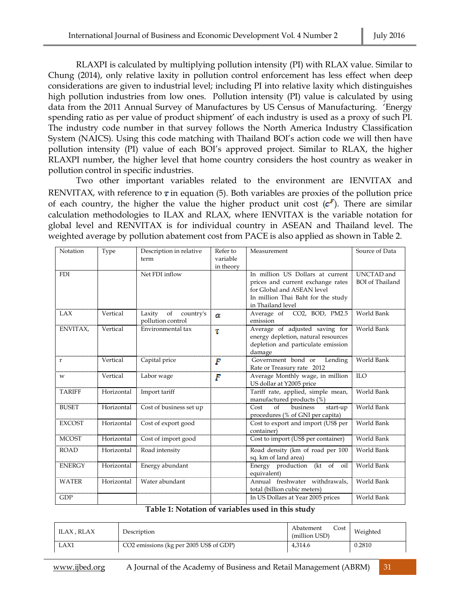RLAXPI is calculated by multiplying pollution intensity (PI) with RLAX value. Similar to Chung (2014), only relative laxity in pollution control enforcement has less effect when deep considerations are given to industrial level; including PI into relative laxity which distinguishes high pollution industries from low ones. Pollution intensity (PI) value is calculated by using data from the 2011 Annual Survey of Manufactures by US Census of Manufacturing. 'Energy spending ratio as per value of product shipment' of each industry is used as a proxy of such PI. The industry code number in that survey follows the North America Industry Classification System (NAICS). Using this code matching with Thailand BOI's action code we will then have pollution intensity (PI) value of each BOI's approved project. Similar to RLAX, the higher RLAXPI number, the higher level that home country considers the host country as weaker in pollution control in specific industries.

Two other important variables related to the environment are IENVITAX and RENVITAX, with reference to  $\tau$  in equation (5). Both variables are proxies of the pollution price of each country, the higher the value the higher product unit cost  $(c^F)$ . There are similar calculation methodologies to ILAX and RLAX, where IENVITAX is the variable notation for global level and RENVITAX is for individual country in ASEAN and Thailand level. The weighted average by pollution abatement cost from PACE is also applied as shown in Table 2.

| Notation      | Type       | Description in relative<br>term                | Refer to<br>variable<br>in theory | Measurement                                                                                                                                                    | Source of Data                       |
|---------------|------------|------------------------------------------------|-----------------------------------|----------------------------------------------------------------------------------------------------------------------------------------------------------------|--------------------------------------|
| <b>FDI</b>    |            | Net FDI inflow                                 |                                   | In million US Dollars at current<br>prices and current exchange rates<br>for Global and ASEAN level<br>In million Thai Baht for the study<br>in Thailand level | UNCTAD and<br><b>BOI</b> of Thailand |
| <b>LAX</b>    | Vertical   | Laxity<br>of<br>country's<br>pollution control | $\alpha$                          | Average of CO2, BOD, PM2.5<br>emission                                                                                                                         | World Bank                           |
| ENVITAX,      | Vertical   | Environmental tax                              | Т                                 | Average of adjusted saving for<br>energy depletion, natural resources<br>depletion and particulate emission<br>damage                                          | World Bank                           |
| r             | Vertical   | Capital price                                  | F                                 | Government bond or<br>Lending<br>Rate or Treasury rate 2012                                                                                                    | World Bank                           |
| W             | Vertical   | Labor wage                                     | F                                 | Average Monthly wage, in million<br>US dollar at Y2005 price                                                                                                   | <b>ILO</b>                           |
| <b>TARIFF</b> | Horizontal | Import tariff                                  |                                   | Tariff rate, applied, simple mean,<br>manufactured products (%)                                                                                                | World Bank                           |
| <b>BUSET</b>  | Horizontal | Cost of business set up                        |                                   | Cost<br>of<br>business<br>start-up<br>procedures (% of GNI per capita)                                                                                         | World Bank                           |
| <b>EXCOST</b> | Horizontal | Cost of export good                            |                                   | Cost to export and import (US\$ per<br>container)                                                                                                              | World Bank                           |
| <b>MCOST</b>  | Horizontal | Cost of import good                            |                                   | Cost to import (US\$ per container)                                                                                                                            | World Bank                           |
| <b>ROAD</b>   | Horizontal | Road intensity                                 |                                   | Road density (km of road per 100<br>sq. km of land area)                                                                                                       | World Bank                           |
| <b>ENERGY</b> | Horizontal | Energy abundant                                |                                   | Energy production (kt of oil<br>equivalent)                                                                                                                    | World Bank                           |
| <b>WATER</b>  | Horizontal | Water abundant                                 |                                   | Annual freshwater withdrawals,<br>total (billion cubic meters)                                                                                                 | World Bank                           |
| <b>GDP</b>    |            |                                                |                                   | In US Dollars at Year 2005 prices                                                                                                                              | World Bank                           |

#### **Table 1: Notation of variables used in this study**

| ILAX , RLAX | Description                             | Cost<br>Abatement<br>(million USD) | Weighted |
|-------------|-----------------------------------------|------------------------------------|----------|
| LAX1        | CO2 emissions (kg per 2005 US\$ of GDP) | 4,314.6                            | 0.2810   |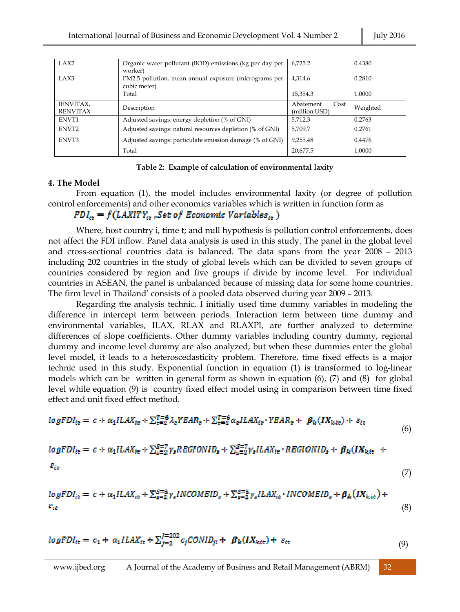| LAX <sub>2</sub>             | Organic water pollutant (BOD) emissions (kg per day per                          | 6.725.2                            | 0.4380   |
|------------------------------|----------------------------------------------------------------------------------|------------------------------------|----------|
| LAX3                         | worker)<br>PM2.5 pollution, mean annual exposure (micrograms per<br>cubic meter) | 4.314.6                            | 0.2810   |
|                              | Total                                                                            | 15,354.3                           | 1.0000   |
| IENVITAX,<br><b>RENVITAX</b> | Description                                                                      | Abatement<br>Cost<br>(million USD) | Weighted |
| ENVT1                        | Adjusted savings: energy depletion (% of GNI)                                    | 5,712.3                            | 0.2763   |
| ENVT <sub>2</sub>            | Adjusted savings: natural resources depletion (% of GNI)                         | 5,709.7                            | 0.2761   |
| ENVT3                        | Adjusted savings: particulate emission damage (% of GNI)                         | 9,255.48                           | 0.4476   |
|                              | Total                                                                            | 20,677.5                           | 1.0000   |

#### **Table 2: Example of calculation of environmental laxity**

#### **4. The Model**

From equation (1), the model includes environmental laxity (or degree of pollution control enforcements) and other economics variables which is written in function form as

# $FDI_{it} = f(LAXITY_{it}, Set\ of\ Economic\ Variables_{it})$

Where, host country i, time t; and null hypothesis is pollution control enforcements, does not affect the FDI inflow. Panel data analysis is used in this study. The panel in the global level and cross-sectional countries data is balanced. The data spans from the year 2008 – 2013 including 202 countries in the study of global levels which can be divided to seven groups of countries considered by region and five groups if divide by income level. For individual countries in ASEAN, the panel is unbalanced because of missing data for some home countries. The firm level in Thailand' consists of a pooled data observed during year 2009 – 2013.

Regarding the analysis technic, I initially used time dummy variables in modeling the difference in intercept term between periods. Interaction term between time dummy and environmental variables, ILAX, RLAX and RLAXPI, are further analyzed to determine differences of slope coefficients. Other dummy variables including country dummy, regional dummy and income level dummy are also analyzed, but when these dummies enter the global level model, it leads to a heteroscedasticity problem. Therefore, time fixed effects is a major technic used in this study. Exponential function in equation (1) is transformed to log-linear models which can be written in general form as shown in equation (6), (7) and (8) for global level while equation (9) is country fixed effect model using in comparison between time fixed effect and unit fixed effect method.

$$
logFDI_{it} = c + \alpha_1 ILAX_{it} + \sum_{t=2}^{T=6} \lambda_t YEAR_t + \sum_{t=2}^{T=6} \alpha_t ILAX_{it} \cdot YEAR_t + \beta_k (IX_{k, it}) + \varepsilon_{it}
$$

$$
(6)
$$

$$
logFDI_{it} = c + \alpha_1 ILAX_{it} + \sum_{s=2}^{S=7} \gamma_s REGIONID_s + \sum_{s=2}^{S=7} \gamma_s ILAX_{it} \cdot REGIONID_s + \beta_R (IX_{kit} +
$$

$$
\varepsilon_{\rm it} \tag{7}
$$

$$
logFDI_{it} = c + \alpha_1 ILAX_{it} + \sum_{s=2}^{S=5} \gamma_s INCOMEID_s + \sum_{s=2}^{S=5} \gamma_s ILAX_{it} \cdot INCOMEID_s + \beta_k \left( IX_{k,it} \right) + \epsilon_{it}
$$
\n
$$
(8)
$$

$$
logFDI_{it} = c_1 + \alpha_1 ILAX_{it} + \sum_{j=2}^{J=202} c_j CONID_{ji} + \beta_k (IX_{kit}) + \varepsilon_{it}
$$
\n(9)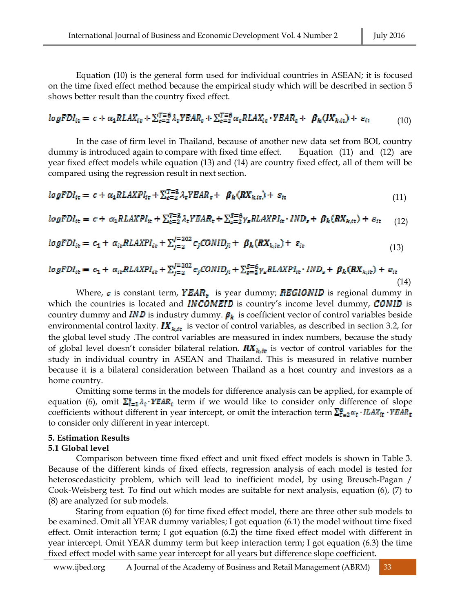Equation (10) is the general form used for individual countries in ASEAN; it is focused on the time fixed effect method because the empirical study which will be described in section 5 shows better result than the country fixed effect.

#### $logFDI_{it} = c + \alpha_1 R LAX_{it} + \sum_{t=2}^{T=6} \lambda_t YEAR_t + \sum_{t=2}^{T=6} \alpha_t R LAX_{it} \cdot YEAR_t + \beta_k (IX_{k, it}) + \varepsilon_{it}$ (10)

In the case of firm level in Thailand, because of another new data set from BOI, country dummy is introduced again to compare with fixed time effect. Equation (11) and (12) are year fixed effect models while equation (13) and (14) are country fixed effect, all of them will be compared using the regression result in next section.

$$
logFDI_{it} = c + \alpha_1 RLANPI_{it} + \sum_{t=2}^{T=5} \lambda_t VEAR_t + \beta_k (RX_{k, it}) + \varepsilon_{it}
$$
\n
$$
(11)
$$

$$
logFDI_{it} = c + \alpha_1 RLANPI_{it} + \sum_{t=2}^{T=5} \lambda_t YEAR_t + \sum_{s=2}^{5=6} \gamma_s RLANPI_{it} \cdot IND_s + \beta_k (RX_{k, it}) + \varepsilon_{it} \tag{12}
$$

$$
logFDI_{it} = c_1 + \alpha_{it} RLANPI_{it} + \sum_{j=2}^{j=202} c_j CONID_{ji} + \beta_k (RX_{k, it}) + \varepsilon_{it}
$$
\n(13)

$$
logFDI_{it} = c_1 + \alpha_{it} RLAXPI_{it} + \sum_{j=2}^{J=202} c_jCONID_{ji} + \sum_{s=2}^{S=6} \gamma_s RLAXPI_{it} \cdot IND_s + \beta_k(RX_{k,it}) + \varepsilon_{it}
$$
\n(14)

Where,  $\epsilon$  is constant term, **YEAR**<sub> $\epsilon$ </sub> is year dummy; **REGIONID** is regional dummy in which the countries is located and **INCOMEID** is country's income level dummy, **CONID** is country dummy and **IND** is industry dummy.  $\beta_k$  is coefficient vector of control variables beside environmental control laxity.  $IX_{k, it}$  is vector of control variables, as described in section 3.2, for the global level study .The control variables are measured in index numbers, because the study of global level doesn't consider bilateral relation.  $\boldsymbol{R} \boldsymbol{X}_{k, it}$  is vector of control variables for the study in individual country in ASEAN and Thailand. This is measured in relative number because it is a bilateral consideration between Thailand as a host country and investors as a home country.

Omitting some terms in the models for difference analysis can be applied, for example of equation (6), omit  $\sum_{i=1}^{6} \lambda_i \cdot VEAR_i$  term if we would like to consider only difference of slope coefficients without different in year intercept, or omit the interaction term  $\sum_{\tau=2}^{6} \alpha_{\tau} \cdot ILAX_{i\tau} \cdot YEAR_{\tau}$ to consider only different in year intercept.

#### **5. Estimation Results**

#### **5.1 Global level**

Comparison between time fixed effect and unit fixed effect models is shown in Table 3. Because of the different kinds of fixed effects, regression analysis of each model is tested for heteroscedasticity problem, which will lead to inefficient model, by using Breusch-Pagan / Cook-Weisberg test. To find out which modes are suitable for next analysis, equation (6), (7) to (8) are analyzed for sub models.

Staring from equation (6) for time fixed effect model, there are three other sub models to be examined. Omit all YEAR dummy variables; I got equation (6.1) the model without time fixed effect. Omit interaction term; I got equation (6.2) the time fixed effect model with different in year intercept. Omit YEAR dummy term but keep interaction term; I got equation (6.3) the time fixed effect model with same year intercept for all years but difference slope coefficient.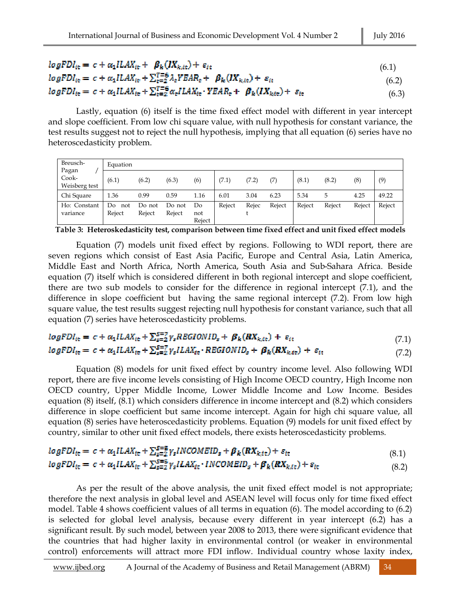| $logFDI_{it} = c + \alpha_1 ILAX_{it} + \beta_k (IX_{k, it}) + \varepsilon_{it}$ |  |
|----------------------------------------------------------------------------------|--|
|----------------------------------------------------------------------------------|--|

$$
logFDI_{it} = c + \alpha_1 ILAX_{it} + \sum_{t=2}^{T=6} \lambda_t YEAR_t + \beta_k (IX_{k, it}) + \varepsilon_{it}
$$
\n
$$
(6.2)
$$

$$
logFDI_{it} = c + \alpha_1 ILAX_{it} + \sum_{t=2}^{T=6} \alpha_t ILAX_{it} \cdot YEAR_t + \beta_k (IX_{k,it}) + \varepsilon_{it}
$$
\n
$$
(6.3)
$$

Lastly, equation (6) itself is the time fixed effect model with different in year intercept and slope coefficient. From low chi square value, with null hypothesis for constant variance, the test results suggest not to reject the null hypothesis, implying that all equation (6) series have no heteroscedasticity problem.

| Breusch-                        | Equation            |                  |                  |                     |        |       |        |        |        |          |        |  |  |
|---------------------------------|---------------------|------------------|------------------|---------------------|--------|-------|--------|--------|--------|----------|--------|--|--|
| Pagan<br>Cook-<br>Weisberg test | (6.1)               | (6.2)            | (6.3)            | (6)                 | (7.1)  | (7.2) |        | (8.1)  | (8.2)  | $^{(8)}$ | (9)    |  |  |
| Chi Square                      | 1.36                | 0.99             | 0.59             | 1.16                | 6.01   | 3.04  | 6.23   | 5.34   | 5      | 4.25     | 49.22  |  |  |
| Ho: Constant<br>variance        | Do<br>not<br>Reject | Do not<br>Reject | Do not<br>Reject | Do<br>not<br>Reject | Reject | Rejec | Reject | Reject | Reject | Reject   | Reject |  |  |

**Table 3: Heteroskedasticity test, comparison between time fixed effect and unit fixed effect models**

Equation (7) models unit fixed effect by regions. Following to WDI report, there are seven regions which consist of East Asia Pacific, Europe and Central Asia, Latin America, Middle East and North Africa, North America, South Asia and Sub-Sahara Africa. Beside equation (7) itself which is considered different in both regional intercept and slope coefficient, there are two sub models to consider for the difference in regional intercept (7.1), and the difference in slope coefficient but having the same regional intercept (7.2). From low high square value, the test results suggest rejecting null hypothesis for constant variance, such that all equation (7) series have heteroscedasticity problems.

$$
logFDI_{it} = c + \alpha_1 ILAX_{it} + \sum_{s=2}^{S=7} \gamma_s REGIONID_s + \beta_k(RX_{k,it}) + \varepsilon_{it}
$$
\n(7.1)

# $logFDI_{it} = c + \alpha_1 ILAX_{it} + \sum_{s=2}^{S=7} \gamma_s ILAX_{it} \cdot REGIONID_s + \beta_k (RX_{k,it}) + \varepsilon_{it}$  (7.2)

Equation (8) models for unit fixed effect by country income level. Also following WDI report, there are five income levels consisting of High Income OECD country, High Income non OECD country, Upper Middle Income, Lower Middle Income and Low Income. Besides equation (8) itself, (8.1) which considers difference in income intercept and (8.2) which considers difference in slope coefficient but same income intercept. Again for high chi square value, all equation (8) series have heteroscedasticity problems. Equation (9) models for unit fixed effect by country, similar to other unit fixed effect models, there exists heteroscedasticity problems.

$$
logFDI_{it} = c + \alpha_1 ILAX_{it} + \sum_{s=2}^{S=5} \gamma_s INCOMEID_s + \beta_k(RX_{k,tt}) + s_{it}
$$
  
\n
$$
logFDI_{it} = c + \alpha_1 ILAX_{it} + \sum_{s=2}^{S=5} \gamma_s ILAX_{it} \cdot INCOMEID_s + \beta_k(RX_{k,it}) + s_{it}
$$
 (8.2)

As per the result of the above analysis, the unit fixed effect model is not appropriate; therefore the next analysis in global level and ASEAN level will focus only for time fixed effect model. Table 4 shows coefficient values of all terms in equation (6). The model according to (6.2) is selected for global level analysis, because every different in year intercept (6.2) has a significant result. By such model, between year 2008 to 2013, there were significant evidence that the countries that had higher laxity in environmental control (or weaker in environmental control) enforcements will attract more FDI inflow. Individual country whose laxity index,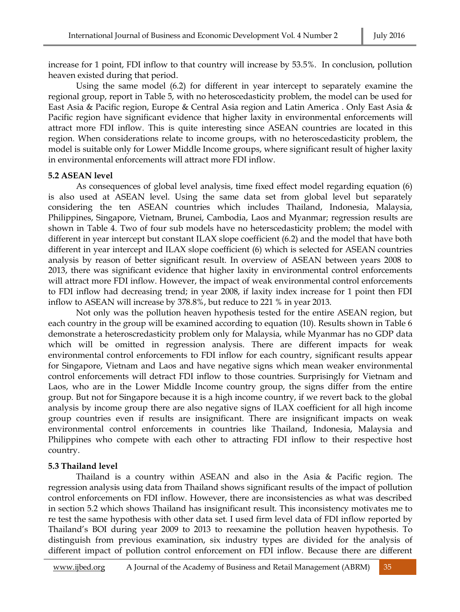increase for 1 point, FDI inflow to that country will increase by 53.5%. In conclusion, pollution heaven existed during that period.

Using the same model (6.2) for different in year intercept to separately examine the regional group, report in Table 5, with no heteroscedasticity problem, the model can be used for East Asia & Pacific region, Europe & Central Asia region and Latin America . Only East Asia & Pacific region have significant evidence that higher laxity in environmental enforcements will attract more FDI inflow. This is quite interesting since ASEAN countries are located in this region. When considerations relate to income groups, with no heteroscedasticity problem, the model is suitable only for Lower Middle Income groups, where significant result of higher laxity in environmental enforcements will attract more FDI inflow.

#### **5.2 ASEAN level**

As consequences of global level analysis, time fixed effect model regarding equation (6) is also used at ASEAN level. Using the same data set from global level but separately considering the ten ASEAN countries which includes Thailand, Indonesia, Malaysia, Philippines, Singapore, Vietnam, Brunei, Cambodia, Laos and Myanmar; regression results are shown in Table 4. Two of four sub models have no heterscedasticity problem; the model with different in year intercept but constant ILAX slope coefficient (6.2) and the model that have both different in year intercept and ILAX slope coefficient (6) which is selected for ASEAN countries analysis by reason of better significant result. In overview of ASEAN between years 2008 to 2013, there was significant evidence that higher laxity in environmental control enforcements will attract more FDI inflow. However, the impact of weak environmental control enforcements to FDI inflow had decreasing trend; in year 2008, if laxity index increase for 1 point then FDI inflow to ASEAN will increase by 378.8%, but reduce to 221 % in year 2013.

Not only was the pollution heaven hypothesis tested for the entire ASEAN region, but each country in the group will be examined according to equation (10). Results shown in Table 6 demonstrate a heteroscredasticity problem only for Malaysia, while Myanmar has no GDP data which will be omitted in regression analysis. There are different impacts for weak environmental control enforcements to FDI inflow for each country, significant results appear for Singapore, Vietnam and Laos and have negative signs which mean weaker environmental control enforcements will detract FDI inflow to those countries. Surprisingly for Vietnam and Laos, who are in the Lower Middle Income country group, the signs differ from the entire group. But not for Singapore because it is a high income country, if we revert back to the global analysis by income group there are also negative signs of ILAX coefficient for all high income group countries even if results are insignificant. There are insignificant impacts on weak environmental control enforcements in countries like Thailand, Indonesia, Malaysia and Philippines who compete with each other to attracting FDI inflow to their respective host country.

### **5.3 Thailand level**

Thailand is a country within ASEAN and also in the Asia & Pacific region. The regression analysis using data from Thailand shows significant results of the impact of pollution control enforcements on FDI inflow. However, there are inconsistencies as what was described in section 5.2 which shows Thailand has insignificant result. This inconsistency motivates me to re test the same hypothesis with other data set. I used firm level data of FDI inflow reported by Thailand's BOI during year 2009 to 2013 to reexamine the pollution heaven hypothesis. To distinguish from previous examination, six industry types are divided for the analysis of different impact of pollution control enforcement on FDI inflow. Because there are different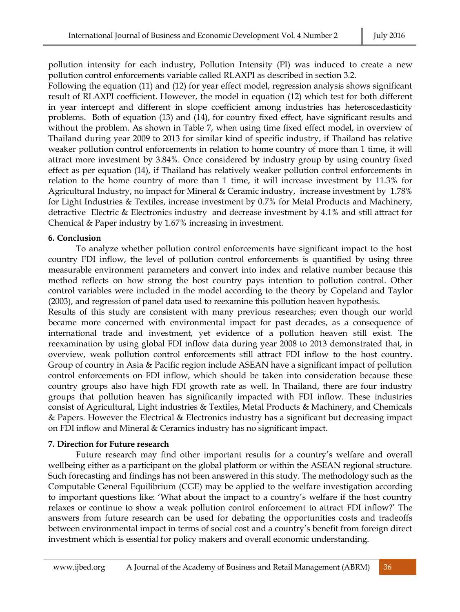pollution intensity for each industry, Pollution Intensity (PI) was induced to create a new pollution control enforcements variable called RLAXPI as described in section 3.2.

Following the equation (11) and (12) for year effect model, regression analysis shows significant result of RLAXPI coefficient. However, the model in equation (12) which test for both different in year intercept and different in slope coefficient among industries has heteroscedasticity problems. Both of equation (13) and (14), for country fixed effect, have significant results and without the problem. As shown in Table 7, when using time fixed effect model, in overview of Thailand during year 2009 to 2013 for similar kind of specific industry, if Thailand has relative weaker pollution control enforcements in relation to home country of more than 1 time, it will attract more investment by 3.84%. Once considered by industry group by using country fixed effect as per equation (14), if Thailand has relatively weaker pollution control enforcements in relation to the home country of more than 1 time, it will increase investment by 11.3% for Agricultural Industry, no impact for Mineral & Ceramic industry, increase investment by 1.78% for Light Industries & Textiles, increase investment by 0.7% for Metal Products and Machinery, detractive Electric & Electronics industry and decrease investment by 4.1% and still attract for Chemical & Paper industry by 1.67% increasing in investment.

### **6. Conclusion**

To analyze whether pollution control enforcements have significant impact to the host country FDI inflow, the level of pollution control enforcements is quantified by using three measurable environment parameters and convert into index and relative number because this method reflects on how strong the host country pays intention to pollution control. Other control variables were included in the model according to the theory by Copeland and Taylor (2003), and regression of panel data used to reexamine this pollution heaven hypothesis.

Results of this study are consistent with many previous researches; even though our world became more concerned with environmental impact for past decades, as a consequence of international trade and investment, yet evidence of a pollution heaven still exist. The reexamination by using global FDI inflow data during year 2008 to 2013 demonstrated that, in overview, weak pollution control enforcements still attract FDI inflow to the host country. Group of country in Asia & Pacific region include ASEAN have a significant impact of pollution control enforcements on FDI inflow, which should be taken into consideration because these country groups also have high FDI growth rate as well. In Thailand, there are four industry groups that pollution heaven has significantly impacted with FDI inflow. These industries consist of Agricultural, Light industries & Textiles, Metal Products & Machinery, and Chemicals & Papers. However the Electrical & Electronics industry has a significant but decreasing impact on FDI inflow and Mineral & Ceramics industry has no significant impact.

### **7. Direction for Future research**

Future research may find other important results for a country's welfare and overall wellbeing either as a participant on the global platform or within the ASEAN regional structure. Such forecasting and findings has not been answered in this study. The methodology such as the Computable General Equilibrium (CGE) may be applied to the welfare investigation according to important questions like: 'What about the impact to a country's welfare if the host country relaxes or continue to show a weak pollution control enforcement to attract FDI inflow?' The answers from future research can be used for debating the opportunities costs and tradeoffs between environmental impact in terms of social cost and a country's benefit from foreign direct investment which is essential for policy makers and overall economic understanding.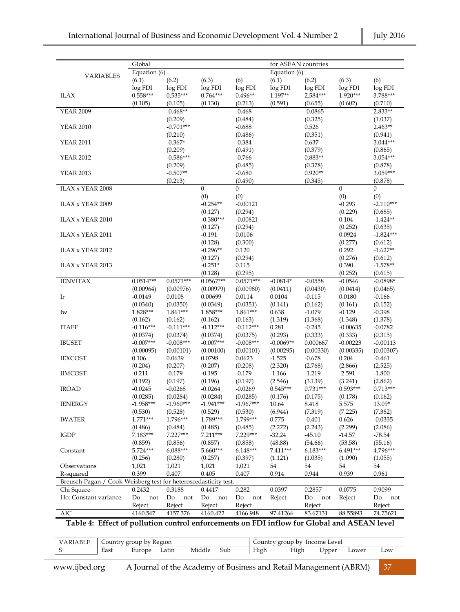|                                                                                            | Global             |                                                 |                     |                     | for ASEAN countries   |                       |                    |                       |
|--------------------------------------------------------------------------------------------|--------------------|-------------------------------------------------|---------------------|---------------------|-----------------------|-----------------------|--------------------|-----------------------|
|                                                                                            | Equation (6)       |                                                 |                     |                     | Equation (6)          |                       |                    |                       |
| <b>VARIABLES</b>                                                                           | (6.1)              | (6.2)                                           | (6.3)               | (6)                 | (6.1)                 | (6.2)                 | (6.3)              | (6)                   |
|                                                                                            | log FDI            | log FDI                                         | log FDI             | log FDI             | log FDI               | log FDI               | log FDI            | log FDI               |
| <b>ILAX</b>                                                                                | $0.558***$         | $0.535***$                                      | $0.764***$          | $0.496**$           | $1.197**$             | 2.584***              | $1.920***$         | 3.788***              |
|                                                                                            | (0.105)            | (0.105)                                         | (0.130)             | (0.213)             | (0.591)               | (0.655)               | (0.602)            | (0.710)               |
| <b>YEAR 2009</b>                                                                           |                    | $-0.468**$                                      |                     | $-0.468$            |                       | $-0.0865$             |                    | 2.833**               |
|                                                                                            |                    | (0.209)                                         |                     | (0.484)             |                       | (0.325)               |                    | (1.037)               |
| <b>YEAR 2010</b>                                                                           |                    | $-0.701***$                                     |                     | $-0.688$            |                       | 0.526                 |                    | $2.463**$             |
|                                                                                            |                    | (0.210)                                         |                     | (0.486)             |                       | (0.351)               |                    | (0.941)               |
| <b>YEAR 2011</b>                                                                           |                    | $-0.367*$                                       |                     | $-0.384$            |                       | 0.637                 |                    | 3.044***              |
|                                                                                            |                    | (0.209)                                         |                     | (0.491)             |                       | (0.379)               |                    | (0.865)               |
| <b>YEAR 2012</b>                                                                           |                    | $-0.586***$                                     |                     | $-0.766$            |                       | $0.883**$             |                    | 3.054***              |
|                                                                                            |                    | (0.209)<br>$-0.507**$                           |                     | (0.485)             |                       | (0.378)<br>$0.920**$  |                    | (0.878)<br>3.059***   |
| <b>YEAR 2013</b>                                                                           |                    |                                                 |                     | $-0.680$            |                       |                       |                    |                       |
| ILAX x YEAR 2008                                                                           |                    | (0.213)                                         | $\Omega$            | (0.490)<br>$\Omega$ |                       | (0.345)               | $\Omega$           | (0.878)<br>$\Omega$   |
|                                                                                            |                    |                                                 | (0)                 | (0)                 |                       |                       | (0)                | (0)                   |
| ILAX x YEAR 2009                                                                           |                    |                                                 | $-0.254**$          | $-0.00121$          |                       |                       | $-0.293$           | $-2.110***$           |
|                                                                                            |                    |                                                 | (0.127)             | (0.294)             |                       |                       | (0.229)            | (0.685)               |
| ILAX x YEAR 2010                                                                           |                    |                                                 | $-0.380***$         | $-0.00821$          |                       |                       | 0.104              | $-1.424**$            |
|                                                                                            |                    |                                                 | (0.127)             | (0.294)             |                       |                       | (0.252)            | (0.635)               |
| ILAX x YEAR 2011                                                                           |                    |                                                 | $-0.191$            | 0.0106              |                       |                       | 0.0924             | $-1.824***$           |
|                                                                                            |                    |                                                 | (0.128)             | (0.300)             |                       |                       | (0.277)            | (0.612)               |
| ILAX x YEAR 2012                                                                           |                    |                                                 | $-0.296**$          | 0.120               |                       |                       | 0.292              | $-1.627**$            |
|                                                                                            |                    |                                                 | (0.127)             | (0.294)             |                       |                       | (0.276)            | (0.612)               |
| ILAX x YEAR 2013                                                                           |                    |                                                 | $-0.251*$           | 0.115               |                       |                       | 0.390              | $-1.578**$            |
|                                                                                            |                    |                                                 | (0.128)             | (0.295)             |                       |                       | (0.252)            | (0.615)               |
| <b>IENVITAX</b>                                                                            | $0.0514***$        | $0.0571***$                                     | $0.0567***$         | $0.0571***$         | $-0.0814*$            | $-0.0558$             | $-0.0546$          | $-0.0898*$            |
|                                                                                            | (0.00964)          | (0.00976)                                       | (0.00979)           | (0.00980)           | (0.0411)              | (0.0430)              | (0.0414)           | (0.0465)              |
| Ir                                                                                         | $-0.0149$          | 0.0108                                          | 0.00699             | 0.0114              | 0.0104                | $-0.115$              | 0.0180             | $-0.166$              |
|                                                                                            | (0.0340)           | (0.0350)                                        | (0.0349)            | (0.0351)            | (0.141)               | (0.162)               | (0.161)            | (0.152)               |
| Iw                                                                                         | 1.828***           | 1.861***                                        | 1.858***            | 1.861***            | 0.638                 | $-1.079$              | $-0.129$           | $-0.398$              |
|                                                                                            | (0.162)            | (0.162)                                         | (0.162)             | (0.163)             | (1.319)               | (1.368)               | (1.348)            | (1.378)               |
| <b>ITAFF</b>                                                                               | $-0.116***$        | $-0.111***$                                     | $-0.112***$         | $-0.112***$         | 0.281                 | $-0.245$              | $-0.00635$         | $-0.0782$             |
|                                                                                            | (0.0374)           | (0.0374)                                        | (0.0374)            | (0.0375)            | (0.293)               | (0.333)               | (0.333)            | (0.315)               |
| <b>IBUSET</b>                                                                              | $-0.007***$        | $-0.008***$                                     | $-0.007***$         | $-0.008***$         | $-0.0069**$           | 0.000667              | $-0.00223$         | $-0.00113$            |
| <b>IEXCOST</b>                                                                             | (0.00095)<br>0.106 | (0.00101)<br>0.0639                             | (0.00100)<br>0.0798 | (0.00101)<br>0.0623 | (0.00295)<br>$-1.525$ | (0.00330)<br>$-0.678$ | (0.00335)<br>0.204 | (0.00307)<br>$-0.461$ |
|                                                                                            | (0.204)            | (0.207)                                         | (0.207)             | (0.208)             | (2.320)               | (2.768)               | (2.866)            | (2.525)               |
| <b>IIMCOST</b>                                                                             | $-0.211$           | $-0.179$                                        | $-0.195$            | $-0.179$            | $-1.166$              | $-1.219$              | $-2.591$           | $-1.800$              |
|                                                                                            | (0.192)            | (0.197)                                         | (0.196)             | (0.197)             | (2.546)               | (3.139)               | (3.241)            | (2.862)               |
| <b>IROAD</b>                                                                               | $-0.0245$          | $-0.0268$                                       | $-0.0264$           | $-0.0269$           | $0.545***$            | $0.731***$            | $0.593***$         | $0.713***$            |
|                                                                                            | (0.0285)           | (0.0284)                                        | (0.0284)            | (0.0285)            | (0.176)               | (0.175)               | (0.178)            | (0.162)               |
| IENERGY                                                                                    | $-1.958***$        | $-1.960***$                                     | -1.941***           | $-1.967***$         | 10.64                 | 8.418                 | 5.575              | 13.09*                |
|                                                                                            | (0.530)            | (0.528)                                         | (0.529)             | (0.530)             | (6.944)               | (7.319)               | (7.225)            | (7.382)               |
| <b>IWATER</b>                                                                              | $1.771***$         | $1.796***$                                      | 1.789***            | 1.799***            | 0.775                 | $-0.401$              | 0.626              | $-0.0335$             |
|                                                                                            | (0.486)            | (0.484)                                         | (0.485)             | (0.485)             | (2.272)               | (2.243)               | (2.299)            | (2.086)               |
| <b>IGDP</b>                                                                                | 7.183***           | $7.227***$                                      | $7.211***$          | 7.229***            | $-32.24$              | $-45.10$              | $-14.57$           | $-78.54$              |
|                                                                                            | (0.859)            | (0.856)                                         | (0.857)             | (0.858)             | (48.88)               | (54.66)               | (53.58)            | (55.16)               |
| Constant                                                                                   | 5.724***           | $6.088***$                                      | 5.660***            | $6.148***$          | $7.411***$            | $6.183***$            | $6.491***$         | 4.796***              |
|                                                                                            | (0.256)            | (0.280)                                         | (0.257)             | (0.397)             | (1.121)               | (1.035)               | (1.090)            | (1.055)               |
| Observations                                                                               | 1,021              | 1,021                                           | 1,021               | 1,021               | 54                    | 54                    | 54                 | 54                    |
| R-squared                                                                                  | 0.399              | 0.407                                           | 0.405               | 0.407               | 0.914                 | 0.944                 | 0.939              | 0.961                 |
| Breusch-Pagan /                                                                            |                    | Cook-Weisberg test for heteroscedasticity test. |                     |                     |                       |                       |                    |                       |
| Chi Square                                                                                 | 0.2432             | 0.3188                                          | 0.4417              | 0.282               | 0.0397                | 0.2857                | 0.0775             | 0.9099                |
| Ho: Constant variance                                                                      | Do<br>not          | Do<br>not                                       | Do<br>not           | Do<br>not           | Reject                | Do<br>not             | Reject             | Do<br>not             |
|                                                                                            | Reject             | Reject                                          | Reject              | Reject              |                       | Reject                |                    | Reject                |
| <b>AIC</b>                                                                                 | 4160.547           | 4157.376                                        | 4160.422            | 4166.948            | 97.41266              | 83.67131              | 88.55893           | 74.75621              |
| Table 4: Effect of pollution control enforcements on FDI inflow for Global and ASEAN level |                    |                                                 |                     |                     |                       |                       |                    |                       |

| <b>VARIABLE</b> | Country group by Region |        |       |        |     |  | Income Level<br>Country group by |      |       |       |     |  |
|-----------------|-------------------------|--------|-------|--------|-----|--|----------------------------------|------|-------|-------|-----|--|
|                 | East                    | Europe | Latin | Middle | Sub |  | High                             | High | ∪pper | Lower | LOW |  |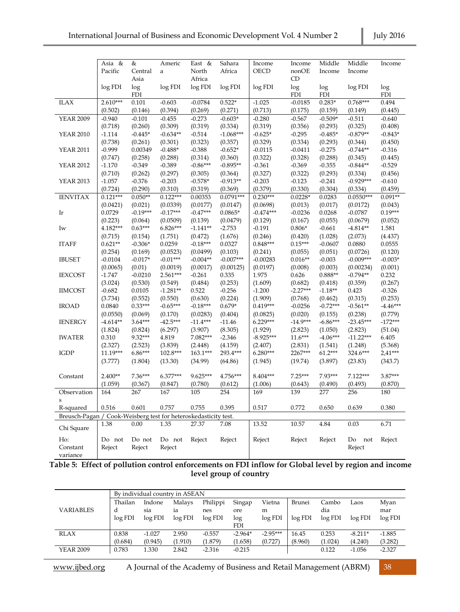|                  | Asia &     | &               | Americ                                          | East &          | Sahara      | Income      | Income      | Middle     | Middle      | Income     |
|------------------|------------|-----------------|-------------------------------------------------|-----------------|-------------|-------------|-------------|------------|-------------|------------|
|                  | Pacific    | Central<br>Asia | $\mathbf{a}$                                    | North<br>Africa | Africa      | <b>OECD</b> | nonOE<br>CD | Income     | Income      |            |
|                  | log FDI    | log             | log FDI                                         | log FDI         | log FDI     | log FDI     | log         | log        | log FDI     | log        |
|                  |            | <b>FDI</b>      |                                                 |                 |             |             | <b>FDI</b>  | <b>FDI</b> |             | <b>FDI</b> |
| <b>ILAX</b>      | $2.610***$ | 0.101           | $-0.603$                                        | $-0.0784$       | $0.522*$    | $-1.025$    | $-0.0185$   | $0.283*$   | $0.768***$  | 0.494      |
|                  | (0.502)    | (0.146)         | (0.394)                                         | (0.269)         | (0.271)     | (0.713)     | (0.175)     | (0.159)    | (0.149)     | (0.445)    |
| <b>YEAR 2009</b> | $-0.940$   | $-0.101$        | $-0.455$                                        | $-0.273$        | $-0.603*$   | $-0.280$    | $-0.567$    | $-0.509*$  | $-0.511$    | $-0.640$   |
|                  | (0.718)    | (0.260)         | (0.309)                                         | (0.319)         | (0.334)     | (0.319)     | (0.356)     | (0.293)    | (0.325)     | (0.408)    |
| <b>YEAR 2010</b> | $-1.114$   | $-0.445*$       | $-0.634**$                                      | $-0.514$        | $-1.068***$ | $-0.625*$   | $-0.295$    | $-0.485*$  | $-0.879**$  | $-0.843*$  |
|                  | (0.738)    | (0.261)         | (0.301)                                         | (0.323)         | (0.357)     | (0.329)     | (0.334)     | (0.293)    | (0.344)     | (0.450)    |
| <b>YEAR 2011</b> | $-0.999$   | 0.00349         | $-0.488*$                                       | $-0.388$        | $-0.652*$   | $-0.0115$   | $-0.0411$   | $-0.275$   | $-0.744**$  | $-0.316$   |
|                  | (0.747)    | (0.258)         | (0.288)                                         | (0.314)         | (0.360)     | (0.322)     | (0.328)     | (0.288)    | (0.345)     | (0.445)    |
| <b>YEAR 2012</b> | $-1.170$   | $-0.349$        | $-0.389$                                        | $-0.86***$      | $-0.895**$  | $-0.361$    | $-0.369$    | $-0.355$   | $-0.844**$  | $-0.529$   |
|                  | (0.710)    | (0.262)         | (0.297)                                         | (0.305)         | (0.364)     | (0.327)     | (0.322)     | (0.293)    | (0.334)     | (0.456)    |
| <b>YEAR 2013</b> | $-1.057$   | $-0.376$        | $-0.203$                                        | $-0.578*$       | $-0.913**$  | $-0.203$    | $-0.123$    | $-0.241$   | $-0.929***$ | $-0.610$   |
|                  | (0.724)    | (0.290)         | (0.310)                                         | (0.319)         | (0.369)     | (0.379)     | (0.330)     | (0.304)    | (0.334)     | (0.459)    |
| <b>IENVITAX</b>  | $0.121***$ | $0.050**$       | $0.122***$                                      | 0.00353         | $0.0791***$ | $0.230***$  | $0.0228*$   | 0.0283     | $0.0550***$ | $0.091**$  |
|                  | (0.0421)   | (0.021)         | (0.0339)                                        | (0.0177)        | (0.0147)    | (0.0698)    | (0.013)     | (0.017)    | (0.0172)    | (0.043)    |
| Ir               | 0.0729     | $-0.19***$      | $-0.17***$                                      | $-0.47***$      | $0.0865*$   | $-0.474***$ | $-0.0236$   | 0.0268     | $-0.0787$   | $0.19***$  |
|                  | (0.223)    | (0.064)         | (0.0509)                                        | (0.139)         | (0.0479)    | (0.129)     | (0.167)     | (0.055)    | (0.0679)    | (0.052)    |
| Iw               | $4.182***$ | $0.63***$       | 6.826***                                        | $-1.141**$      | $-2.753$    | $-0.191$    | $0.806*$    | $-0.661$   | $-4.814**$  | 1.581      |
|                  | (0.715)    | (0.154)         | (1.751)                                         | (0.472)         | (1.676)     | (0.246)     | (0.420)     | (1.028)    | (2.073)     | (4.437)    |
| <b>ITAFF</b>     | $0.621**$  | $-0.306*$       | 0.0259                                          | $-0.18***$      | 0.0327      | $0.848***$  | $0.15***$   | $-0.0607$  | 0.0880      | 0.0555     |
|                  | (0.254)    | (0.169)         | (0.0523)                                        | (0.0499)        | (0.103)     | (0.241)     | (0.055)     | (0.051)    | (0.0726)    | (0.120)    |
| <b>IBUSET</b>    | $-0.0104$  | $-0.017*$       | $-0.01***$                                      | $-0.004**$      | $-0.007***$ | $-0.00283$  | $0.016**$   | $-0.003$   | $-0.009***$ | $-0.003*$  |
|                  | (0.0065)   | (0.01)          | (0.0019)                                        | (0.0017)        | (0.00125)   | (0.0197)    | (0.008)     | (0.003)    | (0.00234)   | (0.001)    |
| <b>IEXCOST</b>   | $-1.747$   | $-0.0210$       | $2.561***$                                      | $-0.261$        | 0.335       | 1.975       | 0.626       | $0.888**$  | $-0.794**$  | 0.232      |
|                  | (3.024)    | (0.530)         | (0.549)                                         | (0.484)         | (0.253)     | (1.609)     | (0.682)     | (0.418)    | (0.359)     | (0.267)    |
| <b>IIMCOST</b>   | $-0.682$   | 0.0105          | $-1.281**$                                      | 0.522           | $-0.256$    | $-1.200$    | $-2.27***$  | $-1.18**$  | 0.423       | $-0.326$   |
|                  | (3.734)    | (0.552)         | (0.550)                                         | (0.630)         | (0.224)     | (1.909)     | (0.768)     | (0.462)    | (0.315)     | (0.253)    |
| <b>IROAD</b>     | 0.0840     | $0.33***$       | $-0.65***$                                      | $-0.18***$      | $0.679*$    | $0.419***$  | $-0.0256$   | $-0.72***$ | $-0.561**$  | $-4.46***$ |
|                  | (0.0550)   | (0.069)         | (0.170)                                         | (0.0283)        | (0.404)     | (0.0825)    | (0.020)     | (0.155)    | (0.238)     | (0.779)    |
| <b>IENERGY</b>   | $-4.614**$ | $3.64***$       | $-42.5***$                                      | $-11.4***$      | $-11.46$    | $6.229***$  | $-14.9***$  | $-6.86***$ | $-23.45***$ | $-172***$  |
|                  | (1.824)    | (0.824)         | (6.297)                                         | (3.907)         | (8.305)     | (1.929)     | (2.823)     | (1.050)    | (2.823)     | (51.04)    |
| <b>IWATER</b>    | 0.310      | 9.32***         | 4.819                                           | 7.082***        | $-2.346$    | $-8.925***$ | $11.6***$   | $-4.06***$ | $-11.22***$ | 6.405      |
|                  | (2.327)    | (2.523)         | (3.839)                                         | (2.448)         | (4.159)     | (2.407)     | (2.831)     | (1.541)    | (1.248)     | (5.368)    |
| <b>IGDP</b>      | 11.19***   | $6.86***$       | 102.8***                                        | $163.1***$      | 293.4***    | $6.280***$  | 2267***     | $61.2***$  | 324.6***    | $2.41***$  |
|                  | (3.777)    | (1.804)         | (13.30)                                         | (34.99)         | (64.86)     | (1.945)     | (19.74)     | (3.897)    | (23.83)     | (343.7)    |
|                  |            |                 |                                                 |                 |             |             |             |            |             |            |
| Constant         | $2.400**$  | $7.36***$       | $6.377***$                                      | $9.625***$      | 4.756***    | $8.404***$  | $7.25***$   | 7.93***    | $7.122***$  | $3.87***$  |
|                  | (1.059)    | (0.367)         | (0.847)                                         | (0.780)         | (0.612)     | (1.006)     | (0.643)     | (0.490)    | (0.493)     | (0.870)    |
| Observation      | 164        | 267             | 167                                             | 105             | 254         | 169         | 139         | 277        | 256         | 180        |
| S                |            |                 |                                                 |                 |             |             |             |            |             |            |
| R-squared        | 0.516      | 0.601           | 0.757                                           | 0.755           | 0.395       | 0.517       | 0.772       | 0.650      | 0.639       | 0.380      |
| Breusch-Pagan /  |            |                 | Cook-Weisberg test for heteroskedasticity test. |                 |             |             |             |            |             |            |
| Chi Square       | 1.38       | 0.00            | 1.35                                            | 27.37           | 7.08        | 13.52       | 10.57       | 4.84       | 0.03        | 6.71       |
| Ho:              | Do not     | Do not          | Do not                                          | Reject          | Reject      | Reject      | Reject      | Reject     | Do<br>not   | Reject     |
| Constant         | Reject     | Reject          | Reject                                          |                 |             |             |             |            | Reject      |            |
| variance         |            |                 |                                                 |                 |             |             |             |            |             |            |

**Table 5: Effect of pollution control enforcements on FDI inflow for Global level by region and income level group of country**

|                  |                         | By individual country in ASEAN |                         |                            |                      |                        |                   |                         |                 |                        |  |  |  |
|------------------|-------------------------|--------------------------------|-------------------------|----------------------------|----------------------|------------------------|-------------------|-------------------------|-----------------|------------------------|--|--|--|
| <b>VARIABLES</b> | Thailan<br>d<br>log FDI | Indone<br>sia<br>log FDI       | Malays<br>ia<br>log FDI | Philippi<br>nes<br>log FDI | Singap<br>ore<br>log | Vietna<br>m<br>log FDI | Brunei<br>log FDI | Cambo<br>dia<br>log FDI | Laos<br>log FDI | Myan<br>mar<br>log FDI |  |  |  |
|                  |                         |                                |                         |                            | FDI                  |                        |                   |                         |                 |                        |  |  |  |
| <b>RLAX</b>      | 0.838                   | $-1.027$                       | 2.950                   | $-0.557$                   | $-2.964*$            | $-2.95***$             | 16.45             | 0.253                   | $-8.211*$       | $-1.885$               |  |  |  |
|                  | (0.684)                 | (0.945)                        | (1.910)                 | (1.879)                    | (1.658)              | (0.727)                | (8.960)           | (1.024)                 | (4.240)         | (3.282)                |  |  |  |
| <b>YEAR 2009</b> | 0.783                   | 1.330                          | 2.842                   | $-2.316$                   | $-0.215$             |                        |                   | 0.122                   | $-1.056$        | $-2.327$               |  |  |  |

www.ijbed.org A Journal of the Academy of Business and Retail Management (ABRM) 38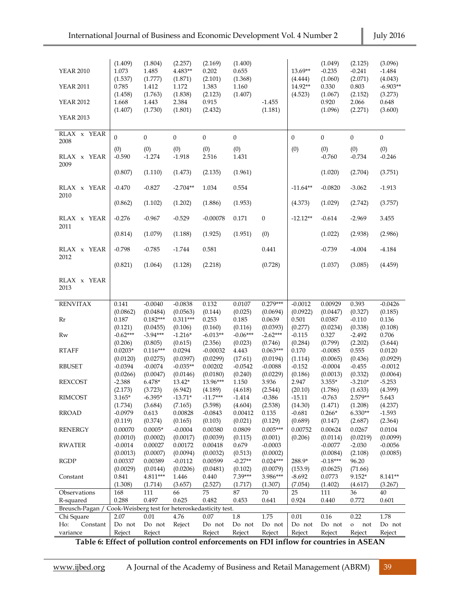| <b>YEAR 2010</b><br><b>YEAR 2011</b><br><b>YEAR 2012</b><br><b>YEAR 2013</b>  | (1.409)<br>1.073<br>(1.537)<br>0.785<br>(1.458)<br>1.668<br>(1.407) | (1.804)<br>1.485<br>(1.777)<br>1.412<br>(1.763)<br>1.443<br>(1.730) | (2.257)<br>4.483**<br>(1.871)<br>1.172<br>(1.838)<br>2.384<br>(1.801) | (2.169)<br>0.202<br>(2.101)<br>1.383<br>(2.123)<br>0.915<br>(2.432) | (1.400)<br>0.655<br>(1.368)<br>1.160<br>(1.407) | $-1.455$<br>(1.181)    | 13.69**<br>(4.444)<br>14.92**<br>(4.523) | (1.049)<br>$-0.235$<br>(1.060)<br>0.330<br>(1.067)<br>0.920<br>(1.096) | (2.125)<br>$-0.241$<br>(2.071)<br>0.803<br>(2.152)<br>2.066<br>(2.271) | (3.096)<br>$-1.484$<br>(4.043)<br>$-6.903**$<br>(3.273)<br>0.648<br>(3.600) |
|-------------------------------------------------------------------------------|---------------------------------------------------------------------|---------------------------------------------------------------------|-----------------------------------------------------------------------|---------------------------------------------------------------------|-------------------------------------------------|------------------------|------------------------------------------|------------------------------------------------------------------------|------------------------------------------------------------------------|-----------------------------------------------------------------------------|
| RLAX x YEAR                                                                   | $\theta$                                                            | $\mathbf{0}$                                                        | $\boldsymbol{0}$                                                      | $\boldsymbol{0}$                                                    | $\boldsymbol{0}$                                |                        | $\mathbf{0}$                             | $\boldsymbol{0}$                                                       | $\boldsymbol{0}$                                                       | $\boldsymbol{0}$                                                            |
| 2008                                                                          | (0)                                                                 | (0)                                                                 | (0)                                                                   | (0)                                                                 | (0)                                             |                        | (0)                                      | (0)                                                                    | (0)                                                                    | (0)                                                                         |
| RLAX x YEAR                                                                   | $-0.590$                                                            | $-1.274$                                                            | $-1.918$                                                              | 2.516                                                               | 1.431                                           |                        |                                          | $-0.760$                                                               | $-0.734$                                                               | $-0.246$                                                                    |
| 2009                                                                          |                                                                     |                                                                     |                                                                       |                                                                     |                                                 |                        |                                          |                                                                        |                                                                        |                                                                             |
|                                                                               | (0.807)                                                             | (1.110)                                                             | (1.473)                                                               | (2.135)                                                             | (1.961)                                         |                        |                                          | (1.020)                                                                | (2.704)                                                                | (3.751)                                                                     |
| RLAX x YEAR                                                                   | $-0.470$                                                            | $-0.827$                                                            | $-2.704**$                                                            | 1.034                                                               | 0.554                                           |                        | $-11.64**$                               | $-0.0820$                                                              | $-3.062$                                                               | $-1.913$                                                                    |
| 2010                                                                          |                                                                     |                                                                     |                                                                       |                                                                     |                                                 |                        |                                          |                                                                        |                                                                        |                                                                             |
|                                                                               | (0.862)                                                             | (1.102)                                                             | (1.202)                                                               | (1.886)                                                             | (1.953)                                         |                        | (4.373)                                  | (1.029)                                                                | (2.742)                                                                | (3.757)                                                                     |
| RLAX x YEAR                                                                   | $-0.276$                                                            | $-0.967$                                                            | $-0.529$                                                              | $-0.00078$                                                          | 0.171                                           | $\boldsymbol{0}$       | $-12.12**$                               | $-0.614$                                                               | $-2.969$                                                               | 3.455                                                                       |
| 2011                                                                          | (0.814)                                                             | (1.079)                                                             | (1.188)                                                               | (1.925)                                                             | (1.951)                                         | (0)                    |                                          | (1.022)                                                                | (2.938)                                                                | (2.986)                                                                     |
|                                                                               |                                                                     |                                                                     |                                                                       |                                                                     |                                                 |                        |                                          |                                                                        |                                                                        |                                                                             |
| RLAX x YEAR                                                                   | $-0.798$                                                            | $-0.785$                                                            | $-1.744$                                                              | 0.581                                                               |                                                 | 0.441                  |                                          | $-0.739$                                                               | $-4.004$                                                               | -4.184                                                                      |
| 2012                                                                          | (0.821)                                                             | (1.064)                                                             | (1.128)                                                               | (2.218)                                                             |                                                 | (0.728)                |                                          | (1.037)                                                                | (3.085)                                                                | (4.459)                                                                     |
|                                                                               |                                                                     |                                                                     |                                                                       |                                                                     |                                                 |                        |                                          |                                                                        |                                                                        |                                                                             |
| RLAX x YEAR<br>2013                                                           |                                                                     |                                                                     |                                                                       |                                                                     |                                                 |                        |                                          |                                                                        |                                                                        |                                                                             |
| <b>RENVITAX</b>                                                               | 0.141                                                               | $-0.0040$                                                           | $-0.0838$                                                             | 0.132                                                               | 0.0107                                          | $0.279***$             | $-0.0012$                                | 0.00929                                                                | 0.393                                                                  | $-0.0426$                                                                   |
|                                                                               | (0.0862)                                                            | (0.0484)                                                            | (0.0563)                                                              | (0.144)                                                             | (0.025)                                         | (0.0694)               | (0.0922)                                 | (0.0447)                                                               | (0.327)                                                                | (0.185)                                                                     |
| Rr                                                                            | 0.187                                                               | $0.182***$                                                          | $0.311***$                                                            | 0.253                                                               | 0.185                                           | 0.0639                 | 0.501                                    | 0.0387                                                                 | $-0.110$                                                               | 0.136                                                                       |
| Rw                                                                            | (0.121)<br>$-0.62***$                                               | (0.0455)<br>$-3.94***$                                              | (0.106)<br>$-1.216*$                                                  | (0.160)<br>$-6.013**$                                               | (0.116)<br>$-0.06***$                           | (0.0393)<br>$-2.62***$ | (0.277)<br>$-0.115$                      | (0.0234)<br>0.327                                                      | (0.338)<br>$-2.492$                                                    | (0.108)<br>0.706                                                            |
|                                                                               | (0.206)                                                             | (0.805)                                                             | (0.615)                                                               | (2.356)                                                             | (0.023)                                         | (0.746)                | (0.284)                                  | (0.799)                                                                | (2.202)                                                                | (3.644)                                                                     |
| <b>RTAFF</b>                                                                  | $0.0203*$                                                           | $0.116***$                                                          | 0.0294                                                                | $-0.00032$                                                          | 4.443                                           | $0.063***$             | 0.170                                    | $-0.0085$                                                              | 0.555                                                                  | 0.0120                                                                      |
| <b>RBUSET</b>                                                                 | (0.0120)<br>$-0.0394$                                               | (0.0275)<br>$-0.0074$                                               | (0.0397)<br>$-0.035**$                                                | (0.0299)<br>0.00202                                                 | (17.61)<br>$-0.0542$                            | (0.0194)<br>$-0.0088$  | (1.114)<br>$-0.152$                      | (0.0065)<br>$-0.0004$                                                  | (0.436)<br>$-0.455$                                                    | (0.0929)<br>$-0.0012$                                                       |
|                                                                               | (0.0266)                                                            | (0.0047)                                                            | (0.0146)                                                              | (0.0180)                                                            | (0.240)                                         | (0.0229)               | (0.186)                                  | (0.0013)                                                               | (0.332)                                                                | (0.0064)                                                                    |
| <b>REXCOST</b>                                                                | $-2.388$                                                            | $6.478*$                                                            | $13.42*$                                                              | 13.96***                                                            | 1.150                                           | 3.936                  | 2.947                                    | 3.355*                                                                 | $-3.210*$                                                              | $-5.253$                                                                    |
|                                                                               | (2.173)                                                             | (3.723)                                                             | (6.942)                                                               | (4.189)                                                             | (4.618)                                         | (2.544)                | (20.10)                                  | (1.786)                                                                | (1.633)                                                                | (4.399)                                                                     |
| <b>RIMCOST</b>                                                                | $3.165*$<br>(1.734)                                                 | $-6.395*$<br>(3.684)                                                | $-13.71*$<br>(7.165)                                                  | $-11.7***$<br>(3.598)                                               | $-1.414$<br>(4.604)                             | $-0.386$<br>(2.538)    | $-15.11$<br>(14.30)                      | $-0.763$<br>(1.471)                                                    | 2.579**<br>(1.208)                                                     | 5.643<br>(4.237)                                                            |
| <b>RROAD</b>                                                                  | $-0.0979$                                                           | 0.613                                                               | 0.00828                                                               | $-0.0843$                                                           | 0.00412                                         | 0.135                  | $-0.681$                                 | $0.266*$                                                               | $6.330**$                                                              | $-1.593$                                                                    |
|                                                                               | (0.119)                                                             | (0.374)                                                             | (0.165)                                                               | (0.103)                                                             | (0.021)                                         | (0.129)                | (0.689)                                  | (0.147)                                                                | (2.687)                                                                | (2.364)                                                                     |
| <b>RENERGY</b>                                                                | 0.00070                                                             | $0.0005*$                                                           | $-0.0004$                                                             | 0.00380                                                             | 0.0809                                          | $0.005***$             | 0.00752                                  | 0.00624                                                                | 0.0267                                                                 | 0.0104                                                                      |
| <b>RWATER</b>                                                                 | (0.0010)<br>$-0.0014$                                               | (0.0002)<br>0.00027                                                 | (0.0017)<br>0.00172                                                   | (0.0039)<br>0.00418                                                 | (0.115)<br>0.679                                | (0.001)<br>$-0.0003$   | (0.206)                                  | (0.0114)<br>$-0.0077$                                                  | (0.0219)<br>$-2.030$                                                   | (0.0099)<br>$-0.0056$                                                       |
|                                                                               | (0.0013)                                                            | (0.0007)                                                            | (0.0094)                                                              | (0.0032)                                                            | (0.513)                                         | (0.0002)               |                                          | (0.0084)                                                               | (2.108)                                                                | (0.0085)                                                                    |
| <b>RGDP</b>                                                                   | 0.00337                                                             | 0.00389                                                             | $-0.0112$                                                             | 0.00599                                                             | $-0.27**$                                       | $0.024***$             | 288.9*                                   | $-0.18***$                                                             | 96.20                                                                  |                                                                             |
|                                                                               | (0.0029)                                                            | (0.0144)                                                            | (0.0206)                                                              | (0.0481)                                                            | (0.102)<br>7.39***                              | (0.0079)<br>3.986***   | (153.9)                                  | (0.0625)                                                               | (71.66)                                                                |                                                                             |
| Constant                                                                      | 0.841<br>(1.308)                                                    | 4.811***<br>(1.714)                                                 | 1.446<br>(3.657)                                                      | 0.440<br>(2.527)                                                    | (1.717)                                         | (1.307)                | $-8.692$<br>(7.054)                      | 0.0773<br>(1.402)                                                      | $9.152*$<br>(4.617)                                                    | 8.141**<br>(3.267)                                                          |
| Observations                                                                  | 168                                                                 | 111                                                                 | 66                                                                    | 75                                                                  | 87                                              | 70                     | 25                                       | 111                                                                    | 36                                                                     | 40                                                                          |
| R-squared                                                                     | 0.288                                                               | 0.497                                                               | 0.625                                                                 | 0.482                                                               | 0.453                                           | 0.641                  | 0.924                                    | 0.440                                                                  | 0.772                                                                  | 0.601                                                                       |
| Breusch-Pagan / Cook-Weisberg test for heteroskedasticity test.<br>Chi Square | 2.07                                                                | 0.01                                                                | 4.76                                                                  | 0.07                                                                | $1.8\,$                                         | 1.75                   | 0.01                                     | 0.16                                                                   | 0.22                                                                   | 1.78                                                                        |
| Ho:<br>Constant                                                               | Do not                                                              | Do not                                                              | Reject                                                                | Do not                                                              | Do not                                          | Do not                 | Do not                                   | Do not                                                                 | $\mathbf{o}$<br>not                                                    | Do not                                                                      |
| variance                                                                      | Reject                                                              | Reject                                                              |                                                                       | Reject                                                              | Reject                                          | Reject                 | Reject                                   | Reject                                                                 | Reject                                                                 | Reject                                                                      |

**Table 6: Effect of pollution control enforcements on FDI inflow for countries in ASEAN**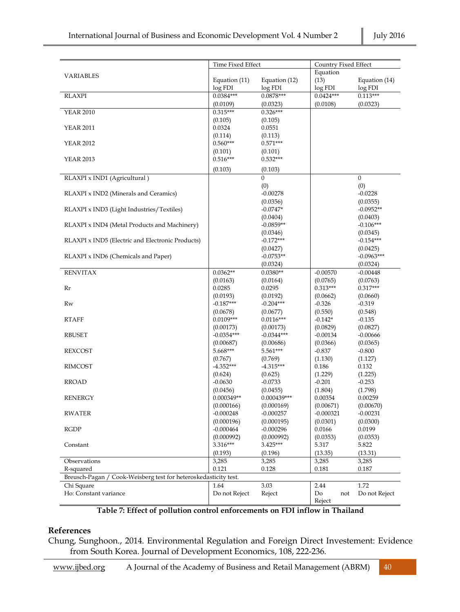|                                                                    | Time Fixed Effect     |                    | Country Fixed Effect   |                        |  |
|--------------------------------------------------------------------|-----------------------|--------------------|------------------------|------------------------|--|
|                                                                    |                       |                    | Equation               |                        |  |
| <b>VARIABLES</b>                                                   | Equation (11)         | Equation (12)      | (13)                   | Equation (14)          |  |
|                                                                    | log FDI               | log FDI            | log FDI                | log FDI                |  |
| <b>RLAXPI</b>                                                      | $0.0384***$           | $0.0878***$        | $0.0424***$            | $0.113***$             |  |
|                                                                    | (0.0109)              | (0.0323)           | (0.0108)               | (0.0323)               |  |
| <b>YEAR 2010</b>                                                   | $0.315***$            | $0.326***$         |                        |                        |  |
|                                                                    | (0.105)               | (0.105)            |                        |                        |  |
| <b>YEAR 2011</b>                                                   | 0.0324                | 0.0551             |                        |                        |  |
|                                                                    | (0.114)               | (0.113)            |                        |                        |  |
| <b>YEAR 2012</b>                                                   | $0.560***$            | $0.571***$         |                        |                        |  |
|                                                                    | (0.101)               | (0.101)            |                        |                        |  |
| <b>YEAR 2013</b>                                                   | $0.516***$            | $0.532***$         |                        |                        |  |
|                                                                    | (0.103)               | (0.103)            |                        |                        |  |
| RLAXPI x IND1 (Agricultural)                                       |                       | $\boldsymbol{0}$   |                        | $\boldsymbol{0}$       |  |
|                                                                    |                       | (0)                |                        | (0)                    |  |
| RLAXPI x IND2 (Minerals and Ceramics)                              |                       | $-0.00278$         |                        | $-0.0228$              |  |
|                                                                    |                       | (0.0356)           |                        | (0.0355)               |  |
| RLAXPI x IND3 (Light Industries/Textiles)                          |                       | $-0.0747*$         |                        | $-0.0952**$            |  |
|                                                                    |                       | (0.0404)           |                        | (0.0403)               |  |
| RLAXPI x IND4 (Metal Products and Machinery)                       |                       | $-0.0859**$        |                        | $-0.106***$            |  |
|                                                                    |                       | (0.0346)           |                        | (0.0345)               |  |
| RLAXPI x IND5 (Electric and Electronic Products)                   |                       | $-0.172***$        |                        | $-0.154***$            |  |
|                                                                    |                       | (0.0427)           |                        | (0.0425)               |  |
| RLAXPI x IND6 (Chemicals and Paper)                                |                       | $-0.0753**$        |                        | $-0.0963***$           |  |
|                                                                    |                       | (0.0324)           |                        | (0.0324)               |  |
| <b>RENVITAX</b>                                                    | $0.0362**$            | $0.0380**$         | $-0.00570$             | $-0.00448$             |  |
|                                                                    | (0.0163)              | (0.0164)           | (0.0765)               | (0.0763)               |  |
| Rr                                                                 | 0.0285<br>(0.0193)    | 0.0295<br>(0.0192) | $0.313***$<br>(0.0662) | $0.317***$<br>(0.0660) |  |
| Rw                                                                 | $-0.187***$           | $-0.204***$        | $-0.326$               | $-0.319$               |  |
|                                                                    | (0.0678)              | (0.0677)           | (0.550)                | (0.548)                |  |
| <b>RTAFF</b>                                                       | $0.0109***$           | $0.0116***$        | $-0.142*$              | $-0.135$               |  |
|                                                                    | (0.00173)             | (0.00173)          | (0.0829)               | (0.0827)               |  |
| <b>RBUSET</b>                                                      | $-0.0354***$          | $-0.0344***$       | $-0.00134$             | $-0.00666$             |  |
|                                                                    | (0.00687)             | (0.00686)          | (0.0366)               | (0.0365)               |  |
| <b>REXCOST</b>                                                     | 5.668***              | 5.561***           | $-0.837$               | $-0.800$               |  |
|                                                                    | (0.767)               | (0.769)            | (1.130)                | (1.127)                |  |
| RIMCOST                                                            | $-4.352***$           | $-4.315***$        | 0.186                  | 0.132                  |  |
|                                                                    | (0.624)               | (0.625)            | (1.229)                | (1.225)                |  |
| <b>RROAD</b>                                                       | $-0.0630$             | $-0.0733$          | $-0.201$               | $-0.253$               |  |
|                                                                    | (0.0456)              | (0.0455)           | (1.804)                | (1.798)                |  |
| <b>RENERGY</b>                                                     | $0.000349**$          | $0.000439***$      | 0.00354                | 0.00259                |  |
|                                                                    | (0.000166)            | (0.000169)         | (0.00671)              | (0.00670)              |  |
| RWATER                                                             | $-0.000248$           | $-0.000257$        | $-0.000321$            | $-0.00231$             |  |
|                                                                    | (0.000196)            | (0.000195)         | (0.0301)               | (0.0300)               |  |
| <b>RGDP</b>                                                        | $-0.000464$           | $-0.000296$        | 0.0166                 | 0.0199                 |  |
|                                                                    | (0.000992)            | (0.000992)         | (0.0353)               | (0.0353)               |  |
| Constant                                                           | 3.316***              | 3.425***           | 5.317                  | 5.822                  |  |
|                                                                    | (0.193)               | (0.196)            | (13.35)                | (13.31)                |  |
| Observations                                                       | 3,285                 | 3,285              | 3,285                  | 3,285                  |  |
| R-squared                                                          | 0.121                 | 0.128              | 0.181                  | 0.187                  |  |
| Breusch-Pagan /<br>Cook-Weisberg test for heteroskedasticity test. |                       |                    |                        |                        |  |
| Chi Square<br>Ho: Constant variance                                | 1.64<br>Do not Reject | 3.03<br>Reject     | 2.44                   | 1.72<br>Do not Reject  |  |
|                                                                    |                       |                    | Do<br>not<br>Reject    |                        |  |
|                                                                    |                       |                    |                        |                        |  |

#### **Table 7: Effect of pollution control enforcements on FDI inflow in Thailand**

#### **References**

Chung, Sunghoon., 2014. Environmental Regulation and Foreign Direct Investement: Evidence from South Korea. Journal of Development Economics, 108, 222-236.